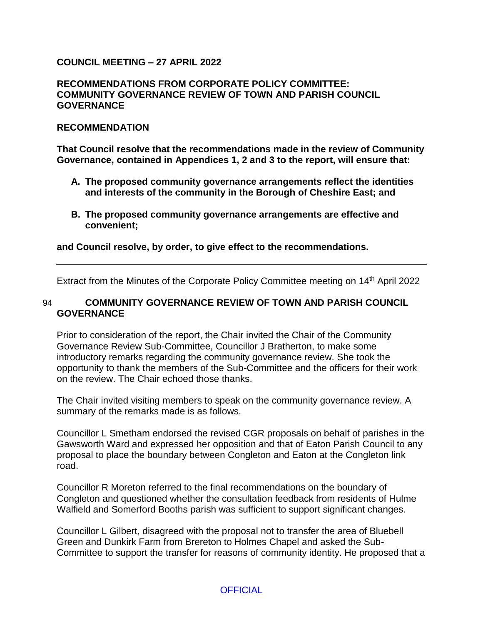## **COUNCIL MEETING – 27 APRIL 2022**

### **RECOMMENDATIONS FROM CORPORATE POLICY COMMITTEE: COMMUNITY GOVERNANCE REVIEW OF TOWN AND PARISH COUNCIL GOVERNANCE**

#### **RECOMMENDATION**

**That Council resolve that the recommendations made in the review of Community Governance, contained in Appendices 1, 2 and 3 to the report, will ensure that:**

- **A. The proposed community governance arrangements reflect the identities and interests of the community in the Borough of Cheshire East; and**
- **B. The proposed community governance arrangements are effective and convenient;**

**and Council resolve, by order, to give effect to the recommendations.**

Extract from the Minutes of the Corporate Policy Committee meeting on 14th April 2022

### 94 **COMMUNITY GOVERNANCE REVIEW OF TOWN AND PARISH COUNCIL GOVERNANCE**

Prior to consideration of the report, the Chair invited the Chair of the Community Governance Review Sub-Committee, Councillor J Bratherton, to make some introductory remarks regarding the community governance review. She took the opportunity to thank the members of the Sub-Committee and the officers for their work on the review. The Chair echoed those thanks.

The Chair invited visiting members to speak on the community governance review. A summary of the remarks made is as follows.

Councillor L Smetham endorsed the revised CGR proposals on behalf of parishes in the Gawsworth Ward and expressed her opposition and that of Eaton Parish Council to any proposal to place the boundary between Congleton and Eaton at the Congleton link road.

Councillor R Moreton referred to the final recommendations on the boundary of Congleton and questioned whether the consultation feedback from residents of Hulme Walfield and Somerford Booths parish was sufficient to support significant changes.

Councillor L Gilbert, disagreed with the proposal not to transfer the area of Bluebell Green and Dunkirk Farm from Brereton to Holmes Chapel and asked the Sub-Committee to support the transfer for reasons of community identity. He proposed that a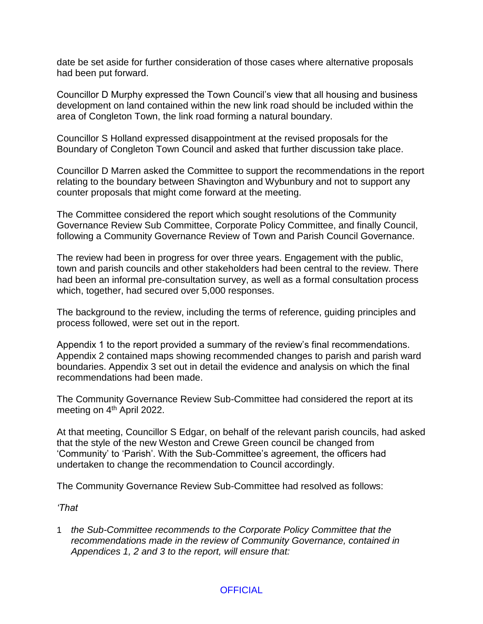date be set aside for further consideration of those cases where alternative proposals had been put forward.

Councillor D Murphy expressed the Town Council's view that all housing and business development on land contained within the new link road should be included within the area of Congleton Town, the link road forming a natural boundary.

Councillor S Holland expressed disappointment at the revised proposals for the Boundary of Congleton Town Council and asked that further discussion take place.

Councillor D Marren asked the Committee to support the recommendations in the report relating to the boundary between Shavington and Wybunbury and not to support any counter proposals that might come forward at the meeting.

The Committee considered the report which sought resolutions of the Community Governance Review Sub Committee, Corporate Policy Committee, and finally Council, following a Community Governance Review of Town and Parish Council Governance.

The review had been in progress for over three years. Engagement with the public, town and parish councils and other stakeholders had been central to the review. There had been an informal pre-consultation survey, as well as a formal consultation process which, together, had secured over 5,000 responses.

The background to the review, including the terms of reference, guiding principles and process followed, were set out in the report.

Appendix 1 to the report provided a summary of the review's final recommendations. Appendix 2 contained maps showing recommended changes to parish and parish ward boundaries. Appendix 3 set out in detail the evidence and analysis on which the final recommendations had been made.

The Community Governance Review Sub-Committee had considered the report at its meeting on 4<sup>th</sup> April 2022.

At that meeting, Councillor S Edgar, on behalf of the relevant parish councils, had asked that the style of the new Weston and Crewe Green council be changed from 'Community' to 'Parish'. With the Sub-Committee's agreement, the officers had undertaken to change the recommendation to Council accordingly.

The Community Governance Review Sub-Committee had resolved as follows:

*'That*

1 *the Sub-Committee recommends to the Corporate Policy Committee that the recommendations made in the review of Community Governance, contained in Appendices 1, 2 and 3 to the report, will ensure that:*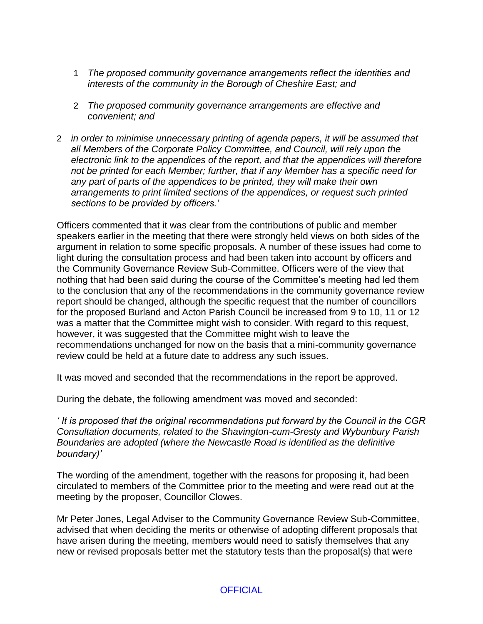- 1 *The proposed community governance arrangements reflect the identities and interests of the community in the Borough of Cheshire East; and*
- 2 *The proposed community governance arrangements are effective and convenient; and*
- 2 *in order to minimise unnecessary printing of agenda papers, it will be assumed that all Members of the Corporate Policy Committee, and Council, will rely upon the electronic link to the appendices of the report, and that the appendices will therefore not be printed for each Member; further, that if any Member has a specific need for any part of parts of the appendices to be printed, they will make their own arrangements to print limited sections of the appendices, or request such printed sections to be provided by officers.'*

Officers commented that it was clear from the contributions of public and member speakers earlier in the meeting that there were strongly held views on both sides of the argument in relation to some specific proposals. A number of these issues had come to light during the consultation process and had been taken into account by officers and the Community Governance Review Sub-Committee. Officers were of the view that nothing that had been said during the course of the Committee's meeting had led them to the conclusion that any of the recommendations in the community governance review report should be changed, although the specific request that the number of councillors for the proposed Burland and Acton Parish Council be increased from 9 to 10, 11 or 12 was a matter that the Committee might wish to consider. With regard to this request, however, it was suggested that the Committee might wish to leave the recommendations unchanged for now on the basis that a mini-community governance review could be held at a future date to address any such issues.

It was moved and seconded that the recommendations in the report be approved.

During the debate, the following amendment was moved and seconded:

*' It is proposed that the original recommendations put forward by the Council in the CGR Consultation documents, related to the Shavington-cum-Gresty and Wybunbury Parish Boundaries are adopted (where the Newcastle Road is identified as the definitive boundary)'*

The wording of the amendment, together with the reasons for proposing it, had been circulated to members of the Committee prior to the meeting and were read out at the meeting by the proposer, Councillor Clowes.

Mr Peter Jones, Legal Adviser to the Community Governance Review Sub-Committee, advised that when deciding the merits or otherwise of adopting different proposals that have arisen during the meeting, members would need to satisfy themselves that any new or revised proposals better met the statutory tests than the proposal(s) that were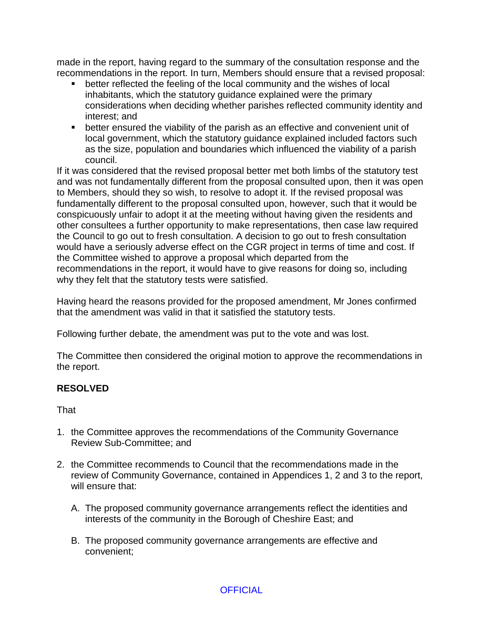made in the report, having regard to the summary of the consultation response and the recommendations in the report. In turn, Members should ensure that a revised proposal:

- **•** better reflected the feeling of the local community and the wishes of local inhabitants, which the statutory guidance explained were the primary considerations when deciding whether parishes reflected community identity and interest; and
- better ensured the viability of the parish as an effective and convenient unit of local government, which the statutory guidance explained included factors such as the size, population and boundaries which influenced the viability of a parish council.

If it was considered that the revised proposal better met both limbs of the statutory test and was not fundamentally different from the proposal consulted upon, then it was open to Members, should they so wish, to resolve to adopt it. If the revised proposal was fundamentally different to the proposal consulted upon, however, such that it would be conspicuously unfair to adopt it at the meeting without having given the residents and other consultees a further opportunity to make representations, then case law required the Council to go out to fresh consultation. A decision to go out to fresh consultation would have a seriously adverse effect on the CGR project in terms of time and cost. If the Committee wished to approve a proposal which departed from the recommendations in the report, it would have to give reasons for doing so, including why they felt that the statutory tests were satisfied.

Having heard the reasons provided for the proposed amendment, Mr Jones confirmed that the amendment was valid in that it satisfied the statutory tests.

Following further debate, the amendment was put to the vote and was lost.

The Committee then considered the original motion to approve the recommendations in the report.

# **RESOLVED**

That

- 1. the Committee approves the recommendations of the Community Governance Review Sub-Committee; and
- 2. the Committee recommends to Council that the recommendations made in the review of Community Governance, contained in Appendices 1, 2 and 3 to the report, will ensure that:
	- A. The proposed community governance arrangements reflect the identities and interests of the community in the Borough of Cheshire East; and
	- B. The proposed community governance arrangements are effective and convenient;